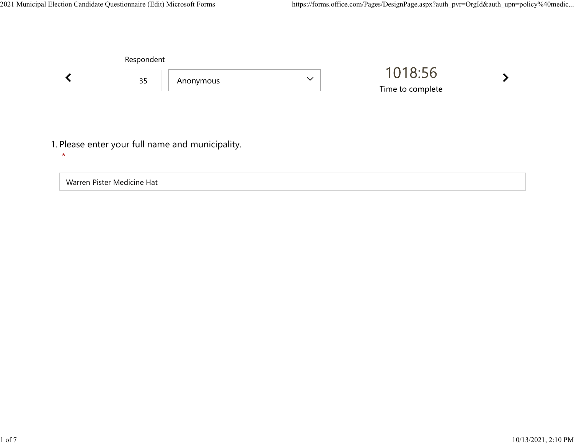

Warren Pister Medicine Hat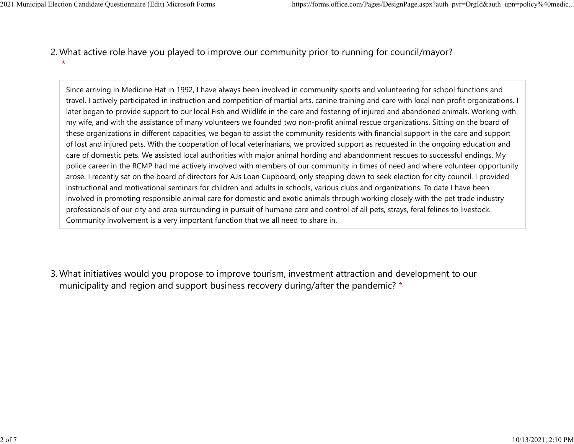What active role have you played to improve our community prior to running for council/mayor? 2.  $\star$ 2021 Municipal Election Candidate Questionnaire (Edit) Microsoft Forms https://forms.office.com/Pages/DesignPage.aspx?auth\_pvr=OrgId&auth\_upn=policy%40medic...<br>2 Mhat active role baye you played to improve our community pr

> Since arriving in Medicine Hat in 1992, I have always been involved in community sports and volunteering for school functions and travel. I actively participated in instruction and competition of martial arts, canine training and care with local non profit organizations. I later began to provide support to our local Fish and Wildlife in the care and fostering of injured and abandoned animals. Working with my wife, and with the assistance of many volunteers we founded two non-profit animal rescue organizations. Sitting on the board of these organizations in different capacities, we began to assist the community residents with financial support in the care and support of lost and injured pets. With the cooperation of local veterinarians, we provided support as requested in the ongoing education and care of domestic pets. We assisted local authorities with major animal hording and abandonment rescues to successful endings. My police career in the RCMP had me actively involved with members of our community in times of need and where volunteer opportunity arose. I recently sat on the board of directors for AJs Loan Cupboard, only stepping down to seek election for city council. I provided instructional and motivational seminars for children and adults in schools, various clubs and organizations. To date I have been involved in promoting responsible animal care for domestic and exotic animals through working closely with the pet trade industry professionals of our city and area surrounding in pursuit of humane care and control of all pets, strays, feral felines to livestock. Community involvement is a very important function that we all need to share in.

What initiatives would you propose to improve tourism, investment attraction and development to our 3. municipality and region and support business recovery during/after the pandemic? \*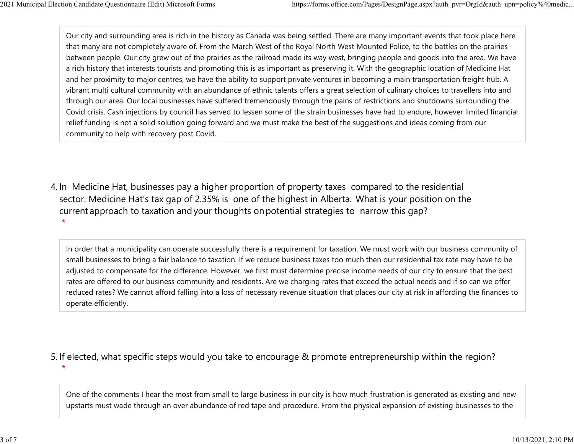Our city and surrounding area is rich in the history as Canada was being settled. There are many important events that took place here that many are not completely aware of. From the March West of the Royal North West Mounted Police, to the battles on the prairies between people. Our city grew out of the prairies as the railroad made its way west, bringing people and goods into the area. We have a rich history that interests tourists and promoting this is as important as preserving it. With the geographic location of Medicine Hat and her proximity to major centres, we have the ability to support private ventures in becoming a main transportation freight hub. A vibrant multi cultural community with an abundance of ethnic talents offers a great selection of culinary choices to travellers into and through our area. Our local businesses have suffered tremendously through the pains of restrictions and shutdowns surrounding the Covid crisis. Cash injections by council has served to lessen some of the strain businesses have had to endure, however limited financial relief funding is not a solid solution going forward and we must make the best of the suggestions and ideas coming from our community to help with recovery post Covid. 2021 Municipal Election Candidate Questionnaire (Edit) Microsoft Forms https://forms.office.com/Pages/DesignPage.aspx?auth\_pvr=OrgId&auth\_upn=policy%40medic...<br>Our city and surrounding area is rich in the history as Canada

4. In Medicine Hat, businesses pay a higher proportion of property taxes compared to the residential sector.  Medicine Hat's tax gap of 2.35% is one of the highest in Alberta.  What is your position on the current approach to taxation and your thoughts on potential strategies to narrow this gap?  $\star$ 

In order that a municipality can operate successfully there is a requirement for taxation. We must work with our business community of small businesses to bring a fair balance to taxation. If we reduce business taxes too much then our residential tax rate may have to be adjusted to compensate for the difference. However, we first must determine precise income needs of our city to ensure that the best rates are offered to our business community and residents. Are we charging rates that exceed the actual needs and if so can we offer reduced rates? We cannot afford falling into a loss of necessary revenue situation that places our city at risk in affording the finances to operate efficiently.

5. If elected, what specific steps would you take to encourage & promote entrepreneurship within the region?

 $\star$ 

One of the comments I hear the most from small to large business in our city is how much frustration is generated as existing and new upstarts must wade through an over abundance of red tape and procedure. From the physical expansion of existing businesses to the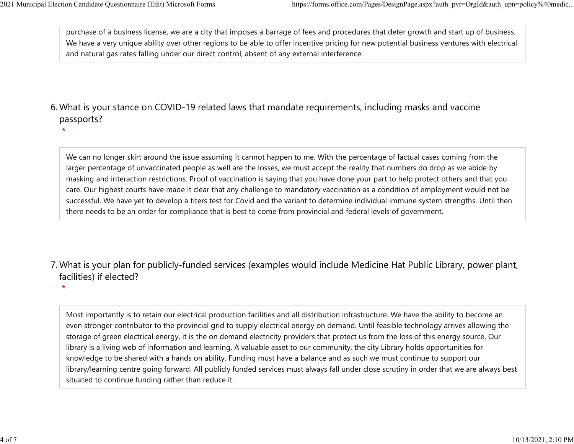$\star$ 

 $\star$ 

purchase of a business license, we are a city that imposes a barrage of fees and procedures that deter growth and start up of business. We have a very unique ability over other regions to be able to offer incentive pricing for new potential business ventures with electrical and natural gas rates falling under our direct control, absent of any external interference. 2021 Municipal Election Candidate Questionnaire (Edit) Microsoft Forms https://forms.office.com/Pages/DesignPage.aspx?auth\_pvr=OrgId&auth\_upn=policy%40medic...<br>
purchase of a business license, we are a city that imposes a

## What is your stance on COVID-19 related laws that mandate requirements, including masks and vaccine 6. passports?

We can no longer skirt around the issue assuming it cannot happen to me. With the percentage of factual cases coming from the larger percentage of unvaccinated people as well are the losses, we must accept the reality that numbers do drop as we abide by masking and interaction restrictions. Proof of vaccination is saying that you have done your part to help protect others and that you care. Our highest courts have made it clear that any challenge to mandatory vaccination as a condition of employment would not be successful. We have yet to develop a titers test for Covid and the variant to determine individual immune system strengths. Until then there needs to be an order for compliance that is best to come from provincial and federal levels of government.

What is your plan for publicly-funded services (examples would include Medicine Hat Public Library, power plant, 7. facilities) if elected?

Most importantly is to retain our electrical production facilities and all distribution infrastructure. We have the ability to become an even stronger contributor to the provincial grid to supply electrical energy on demand. Until feasible technology arrives allowing the storage of green electrical energy, it is the on demand electricity providers that protect us from the loss of this energy source. Our library is a living web of information and learning. A valuable asset to our community, the city Library holds opportunities for knowledge to be shared with a hands on ability. Funding must have a balance and as such we must continue to support our library/learning centre going forward. All publicly funded services must always fall under close scrutiny in order that we are always best situated to continue funding rather than reduce it.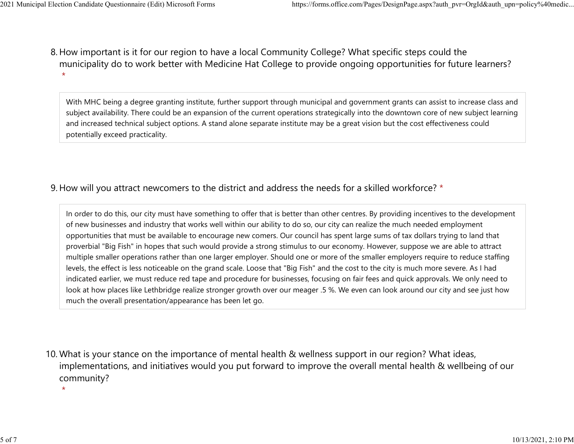8. How important is it for our region to have a local Community College? What specific steps could the municipality do to work better with Medicine Hat College to provide ongoing opportunities for future learners?  $\star$ 2021 Municipal Election Candidate Questionnaire (Edit) Microsoft Forms https://forms.office.com/Pages/DesignPage.aspx?auth\_pvr=OrgId&auth\_upn=policy%40medic...<br>8 How important is it for our region to baye a local Community

> With MHC being a degree granting institute, further support through municipal and government grants can assist to increase class and subject availability. There could be an expansion of the current operations strategically into the downtown core of new subject learning and increased technical subject options. A stand alone separate institute may be a great vision but the cost effectiveness could potentially exceed practicality.

## 9. How will you attract newcomers to the district and address the needs for a skilled workforce? \*

In order to do this, our city must have something to offer that is better than other centres. By providing incentives to the development of new businesses and industry that works well within our ability to do so, our city can realize the much needed employment opportunities that must be available to encourage new comers. Our council has spent large sums of tax dollars trying to land that proverbial "Big Fish" in hopes that such would provide a strong stimulus to our economy. However, suppose we are able to attract multiple smaller operations rather than one larger employer. Should one or more of the smaller employers require to reduce staffing levels, the effect is less noticeable on the grand scale. Loose that "Big Fish" and the cost to the city is much more severe. As I had indicated earlier, we must reduce red tape and procedure for businesses, focusing on fair fees and quick approvals. We only need to look at how places like Lethbridge realize stronger growth over our meager .5 %. We even can look around our city and see just how much the overall presentation/appearance has been let go.

10. What is your stance on the importance of mental health & wellness support in our region? What ideas, implementations, and initiatives would you put forward to improve the overall mental health & wellbeing of our community?

 $\star$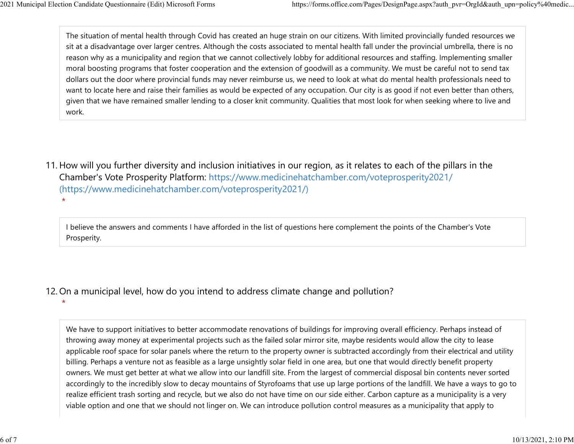$\star$ 

The situation of mental health through Covid has created an huge strain on our citizens. With limited provincially funded resources we sit at a disadvantage over larger centres. Although the costs associated to mental health fall under the provincial umbrella, there is no reason why as a municipality and region that we cannot collectively lobby for additional resources and staffing. Implementing smaller moral boosting programs that foster cooperation and the extension of goodwill as a community. We must be careful not to send tax dollars out the door where provincial funds may never reimburse us, we need to look at what do mental health professionals need to want to locate here and raise their families as would be expected of any occupation. Our city is as good if not even better than others, given that we have remained smaller lending to a closer knit community. Qualities that most look for when seeking where to live and work. 2021 Municipal Election Candidate Questionnaire (Edit) Microsoft Forms https://forms.office.com/Pages/DesignPage.aspx?auth\_pvr=OrgId&auth\_upn=policy%40medic...<br>The situation of mental health through Covid has created an hu

11. How will you further diversity and inclusion initiatives in our region, as it relates to each of the pillars in the Chamber's Vote Prosperity Platform: https://www.medicinehatchamber.com/voteprosperity2021/ (https://www.medicinehatchamber.com/voteprosperity2021/)  $\star$ 

I believe the answers and comments I have afforded in the list of questions here complement the points of the Chamber's Vote Prosperity.

12. On a municipal level, how do you intend to address climate change and pollution?

We have to support initiatives to better accommodate renovations of buildings for improving overall efficiency. Perhaps instead of throwing away money at experimental projects such as the failed solar mirror site, maybe residents would allow the city to lease applicable roof space for solar panels where the return to the property owner is subtracted accordingly from their electrical and utility billing. Perhaps a venture not as feasible as a large unsightly solar field in one area, but one that would directly benefit property owners. We must get better at what we allow into our landfill site. From the largest of commercial disposal bin contents never sorted accordingly to the incredibly slow to decay mountains of Styrofoams that use up large portions of the landfill. We have a ways to go to realize efficient trash sorting and recycle, but we also do not have time on our side either. Carbon capture as a municipality is a very viable option and one that we should not linger on. We can introduce pollution control measures as a municipality that apply to